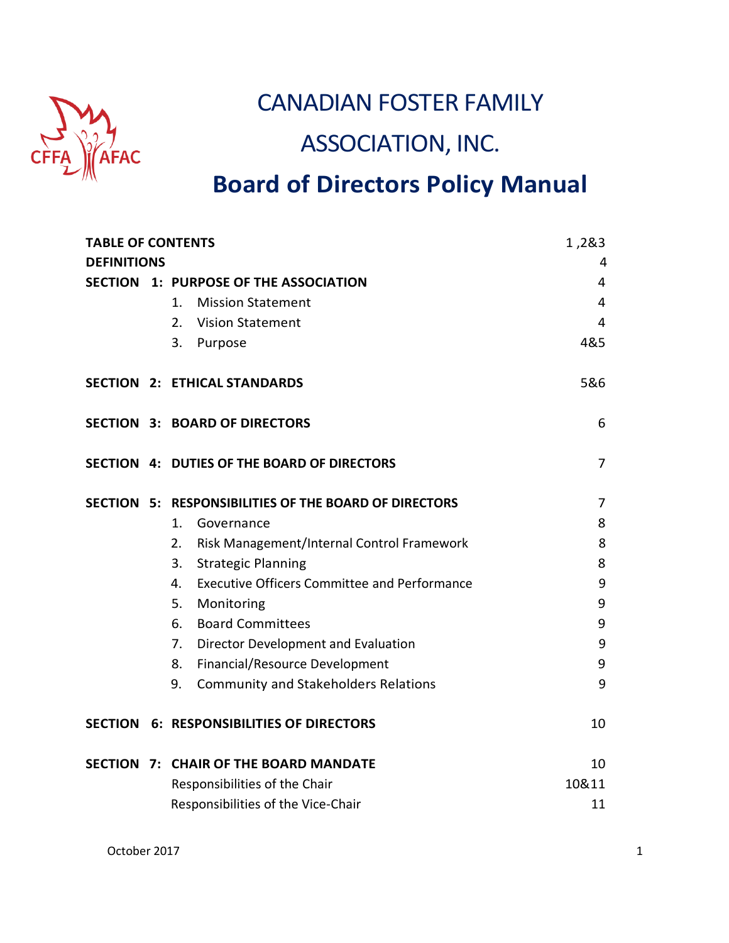

# CANADIAN FOSTER FAMILY

# ASSOCIATION, INC.

# **Board of Directors Policy Manual**

| <b>TABLE OF CONTENTS</b> |                                                           | 1,2&3 |
|--------------------------|-----------------------------------------------------------|-------|
| <b>DEFINITIONS</b>       |                                                           | 4     |
|                          | SECTION 1: PURPOSE OF THE ASSOCIATION                     | 4     |
|                          | <b>Mission Statement</b><br>1.                            | 4     |
|                          | 2.<br><b>Vision Statement</b>                             | 4     |
|                          | 3.<br>Purpose                                             | 4&5   |
|                          | <b>SECTION 2: ETHICAL STANDARDS</b>                       | 5&6   |
|                          | <b>SECTION 3: BOARD OF DIRECTORS</b>                      | 6     |
|                          | SECTION 4: DUTIES OF THE BOARD OF DIRECTORS               | 7     |
|                          | SECTION 5: RESPONSIBILITIES OF THE BOARD OF DIRECTORS     | 7     |
|                          | 1.<br>Governance                                          | 8     |
|                          | 2.<br>Risk Management/Internal Control Framework          | 8     |
|                          | 3.<br><b>Strategic Planning</b>                           | 8     |
|                          | <b>Executive Officers Committee and Performance</b><br>4. | 9     |
|                          | 5.<br>Monitoring                                          | 9     |
|                          | 6.<br><b>Board Committees</b>                             | 9     |
|                          | Director Development and Evaluation<br>7.                 | 9     |
|                          | Financial/Resource Development<br>8.                      | 9     |
|                          | 9.<br><b>Community and Stakeholders Relations</b>         | 9     |
|                          | <b>SECTION 6: RESPONSIBILITIES OF DIRECTORS</b>           | 10    |
|                          | SECTION 7: CHAIR OF THE BOARD MANDATE                     | 10    |
|                          | Responsibilities of the Chair                             | 10&11 |
|                          | Responsibilities of the Vice-Chair                        | 11    |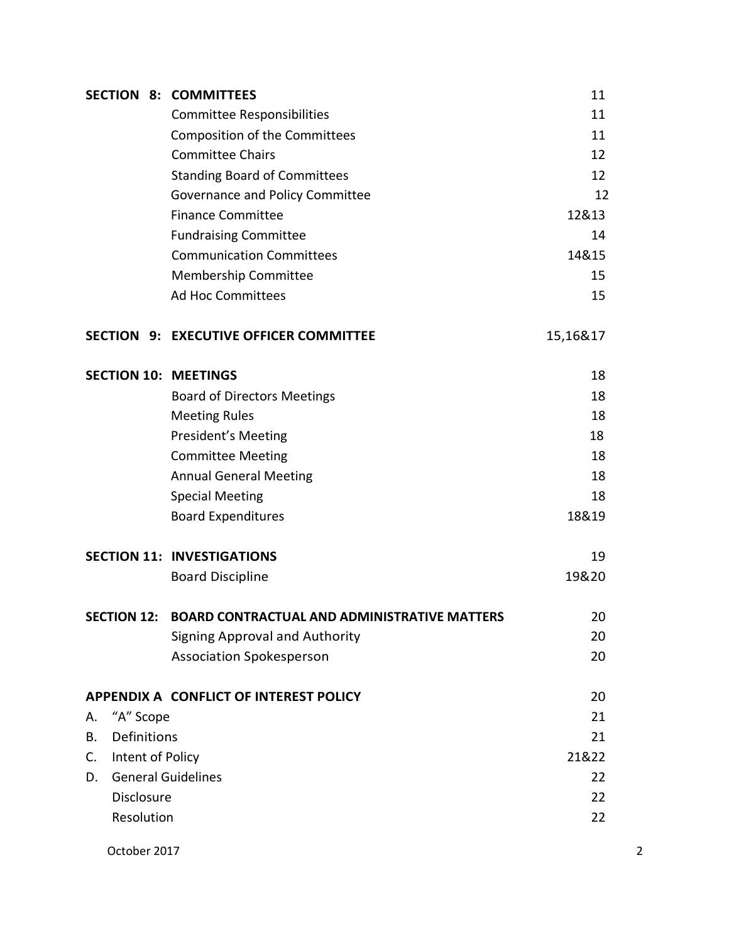|                        |            | <b>SECTION 8: COMMITTEES</b>                             | 11       |                |
|------------------------|------------|----------------------------------------------------------|----------|----------------|
|                        |            | <b>Committee Responsibilities</b>                        | 11       |                |
|                        |            | <b>Composition of the Committees</b>                     | 11       |                |
|                        |            | <b>Committee Chairs</b>                                  | 12       |                |
|                        |            | <b>Standing Board of Committees</b>                      | 12       |                |
|                        |            | Governance and Policy Committee                          | 12       |                |
|                        |            | <b>Finance Committee</b>                                 | 12&13    |                |
|                        |            | <b>Fundraising Committee</b>                             | 14       |                |
|                        |            | <b>Communication Committees</b>                          | 14&15    |                |
|                        |            | Membership Committee                                     | 15       |                |
|                        |            | <b>Ad Hoc Committees</b>                                 | 15       |                |
|                        |            | <b>SECTION 9: EXECUTIVE OFFICER COMMITTEE</b>            | 15,16&17 |                |
|                        |            | <b>SECTION 10: MEETINGS</b>                              | 18       |                |
|                        |            | <b>Board of Directors Meetings</b>                       | 18       |                |
|                        |            | <b>Meeting Rules</b>                                     | 18       |                |
|                        |            | President's Meeting                                      | 18       |                |
|                        |            | <b>Committee Meeting</b>                                 | 18       |                |
|                        |            | <b>Annual General Meeting</b>                            | 18       |                |
|                        |            | <b>Special Meeting</b>                                   | 18       |                |
|                        |            | <b>Board Expenditures</b>                                | 18&19    |                |
|                        |            | <b>SECTION 11: INVESTIGATIONS</b>                        | 19       |                |
|                        |            | <b>Board Discipline</b>                                  | 19&20    |                |
|                        |            | SECTION 12: BOARD CONTRACTUAL AND ADMINISTRATIVE MATTERS | 20       |                |
|                        |            | <b>Signing Approval and Authority</b>                    | 20       |                |
|                        |            | <b>Association Spokesperson</b>                          | 20       |                |
|                        |            | APPENDIX A CONFLICT OF INTEREST POLICY                   | 20       |                |
| А.                     | "A" Scope  |                                                          | 21       |                |
| Definitions<br>Β.      |            | 21                                                       |          |                |
| Intent of Policy<br>C. |            |                                                          | 21&22    |                |
| D.                     |            | <b>General Guidelines</b>                                | 22       |                |
|                        | Disclosure |                                                          | 22       |                |
|                        | Resolution |                                                          | 22       |                |
| October 2017           |            |                                                          |          | $\overline{2}$ |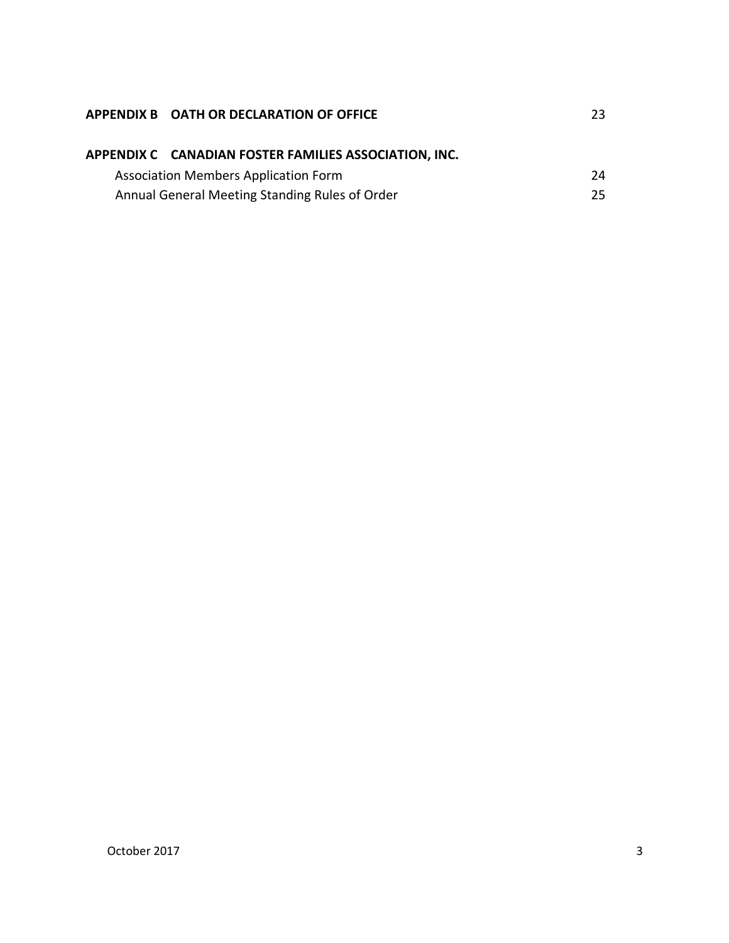|                                                | APPENDIX B OATH OR DECLARATION OF OFFICE              | 23  |
|------------------------------------------------|-------------------------------------------------------|-----|
|                                                | APPENDIX C CANADIAN FOSTER FAMILIES ASSOCIATION, INC. |     |
|                                                | <b>Association Members Application Form</b>           | 24  |
| Annual General Meeting Standing Rules of Order |                                                       | 25. |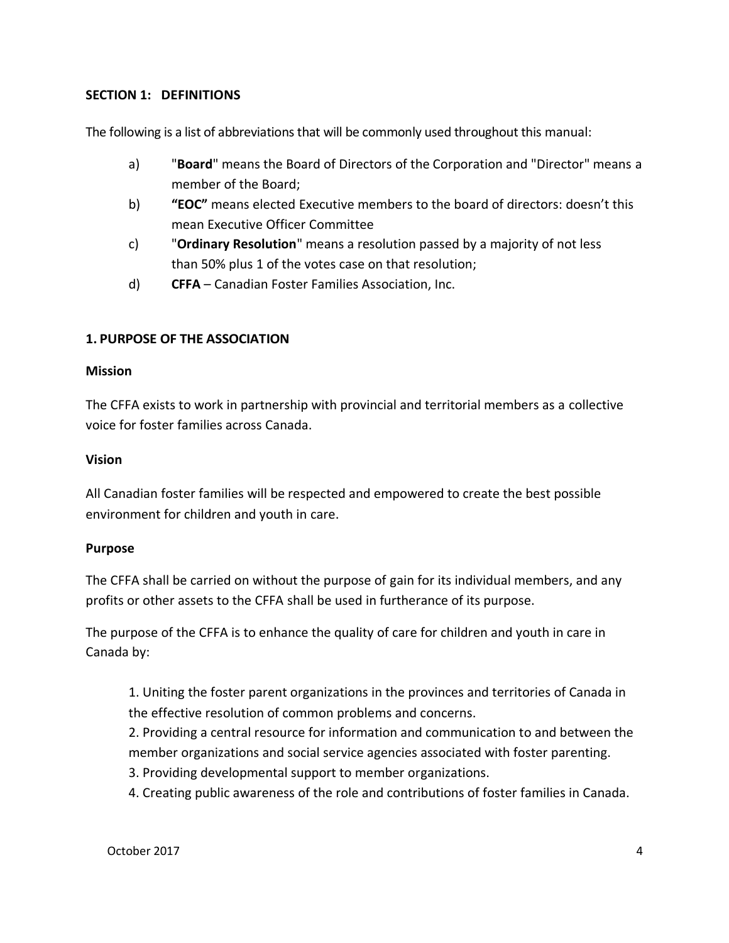#### **SECTION 1: DEFINITIONS**

The following is a list of abbreviations that will be commonly used throughout this manual:

- a) "**Board**" means the Board of Directors of the Corporation and "Director" means a member of the Board;
- b) **"EOC"** means elected Executive members to the board of directors: doesn't this mean Executive Officer Committee
- c) "**Ordinary Resolution**" means a resolution passed by a majority of not less than 50% plus 1 of the votes case on that resolution;
- d) **CFFA**  Canadian Foster Families Association, Inc.

#### **1. PURPOSE OF THE ASSOCIATION**

#### **Mission**

The CFFA exists to work in partnership with provincial and territorial members as a collective voice for foster families across Canada.

#### **Vision**

All Canadian foster families will be respected and empowered to create the best possible environment for children and youth in care.

#### **Purpose**

The CFFA shall be carried on without the purpose of gain for its individual members, and any profits or other assets to the CFFA shall be used in furtherance of its purpose.

The purpose of the CFFA is to enhance the quality of care for children and youth in care in Canada by:

1. Uniting the foster parent organizations in the provinces and territories of Canada in the effective resolution of common problems and concerns.

2. Providing a central resource for information and communication to and between the member organizations and social service agencies associated with foster parenting.

- 3. Providing developmental support to member organizations.
- 4. Creating public awareness of the role and contributions of foster families in Canada.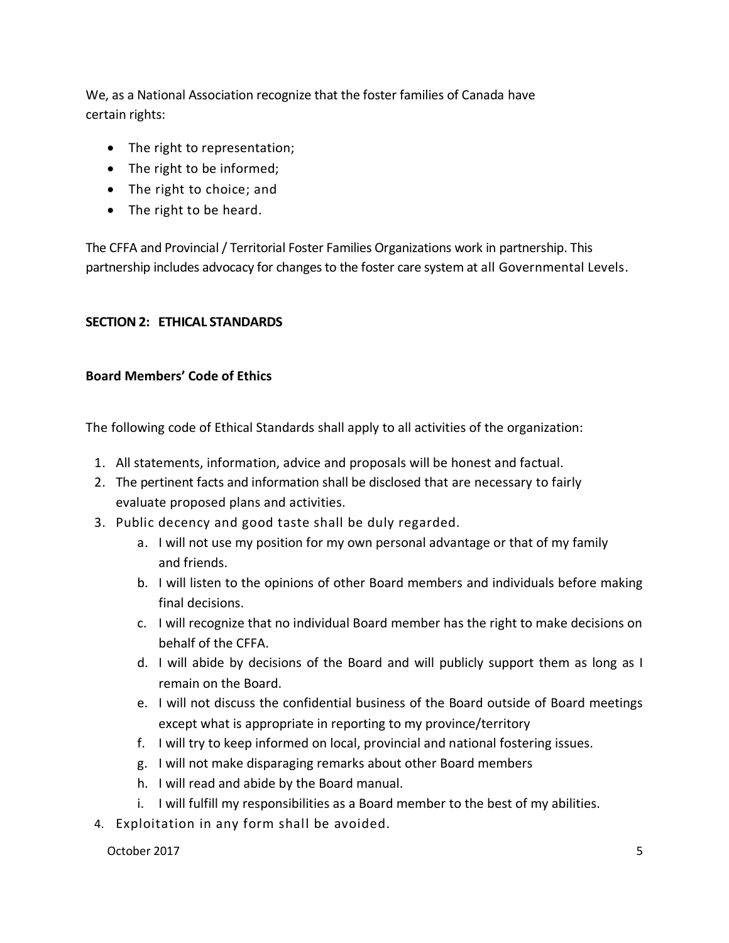We, as a National Association recognize that the foster families of Canada have certain rights:

- The right to representation;
- The right to be informed;
- The right to choice; and
- The right to be heard.

The CFFA and Provincial / Territorial Foster Families Organizations work in partnership. This partnership includes advocacy for changes to the foster care system at all Governmental Levels.

#### **SECTION 2: ETHICAL STANDARDS**

#### **Board Members' Code of Ethics**

The following code of Ethical Standards shall apply to all activities of the organization:

- 1. All statements, information, advice and proposals will be honest and factual.
- 2. The pertinent facts and information shall be disclosed that are necessary to fairly evaluate proposed plans and activities.
- 3. Public decency and good taste shall be duly regarded.
	- a. I will not use my position for my own personal advantage or that of my family and friends.
	- b. I will listen to the opinions of other Board members and individuals before making final decisions.
	- c. I will recognize that no individual Board member has the right to make decisions on behalf of the CFFA.
	- d. I will abide by decisions of the Board and will publicly support them as long as I remain on the Board.
	- e. I will not discuss the confidential business of the Board outside of Board meetings except what is appropriate in reporting to my province/territory
	- f. I will try to keep informed on local, provincial and national fostering issues.
	- g. I will not make disparaging remarks about other Board members
	- h. I will read and abide by the Board manual.
	- i. I will fulfill my responsibilities as a Board member to the best of my abilities.
- 4. Exploitation in any form shall be avoided.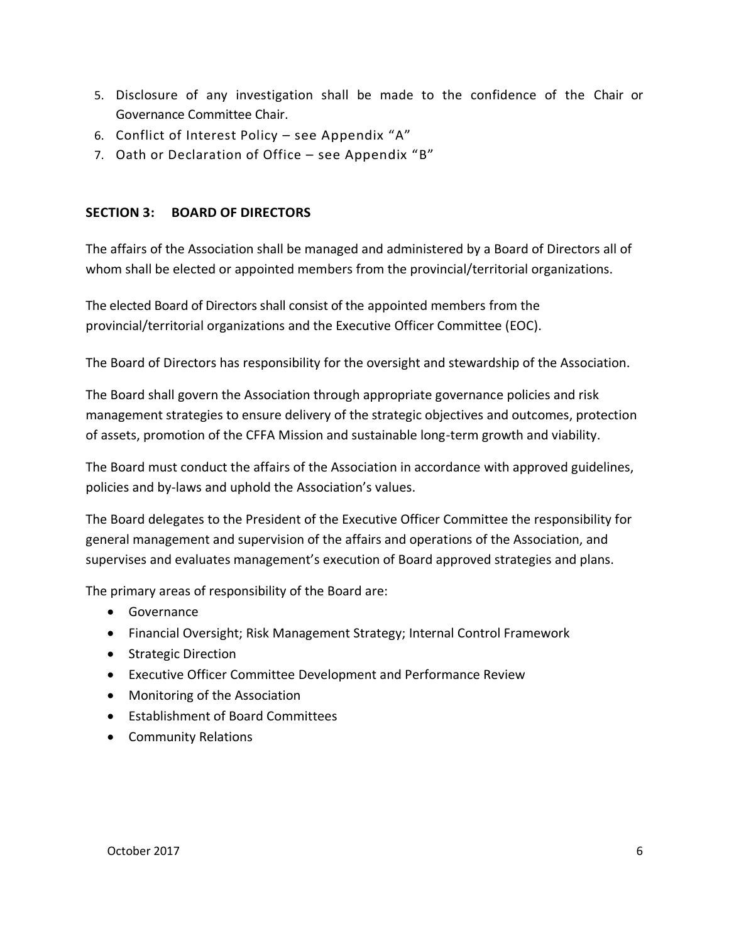- 5. Disclosure of any investigation shall be made to the confidence of the Chair or Governance Committee Chair.
- 6. Conflict of Interest Policy see Appendix "A"
- 7. Oath or Declaration of Office see Appendix "B"

#### **SECTION 3: BOARD OF DIRECTORS**

The affairs of the Association shall be managed and administered by a Board of Directors all of whom shall be elected or appointed members from the provincial/territorial organizations.

The elected Board of Directors shall consist of the appointed members from the provincial/territorial organizations and the Executive Officer Committee (EOC).

The Board of Directors has responsibility for the oversight and stewardship of the Association.

The Board shall govern the Association through appropriate governance policies and risk management strategies to ensure delivery of the strategic objectives and outcomes, protection of assets, promotion of the CFFA Mission and sustainable long-term growth and viability.

The Board must conduct the affairs of the Association in accordance with approved guidelines, policies and by-laws and uphold the Association's values.

The Board delegates to the President of the Executive Officer Committee the responsibility for general management and supervision of the affairs and operations of the Association, and supervises and evaluates management's execution of Board approved strategies and plans.

The primary areas of responsibility of the Board are:

- Governance
- Financial Oversight; Risk Management Strategy; Internal Control Framework
- Strategic Direction
- Executive Officer Committee Development and Performance Review
- Monitoring of the Association
- Establishment of Board Committees
- Community Relations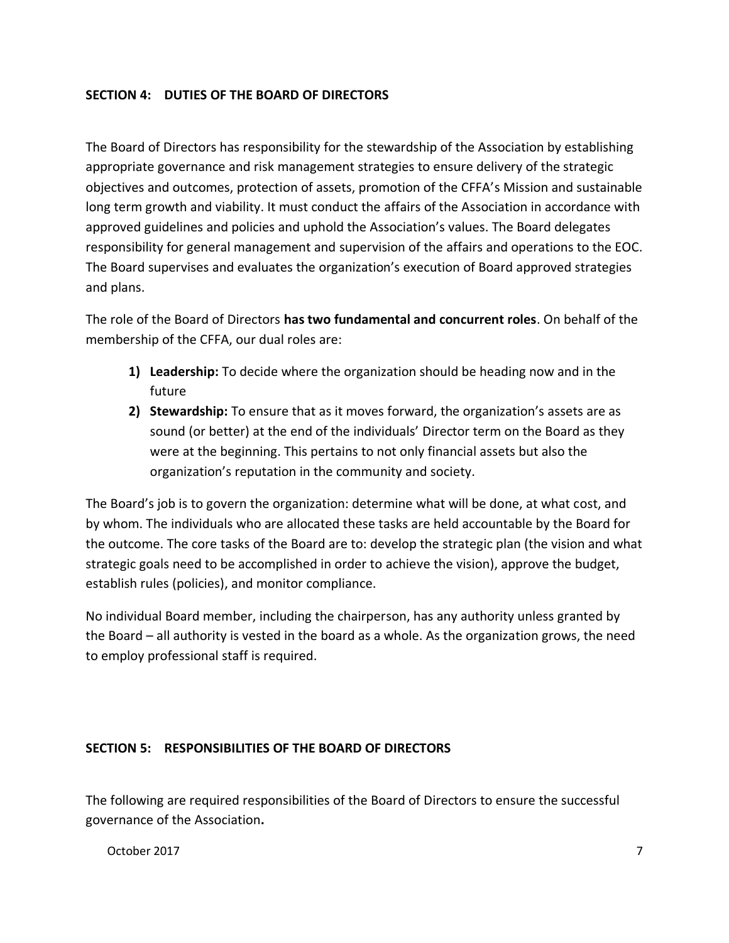#### **SECTION 4: DUTIES OF THE BOARD OF DIRECTORS**

The Board of Directors has responsibility for the stewardship of the Association by establishing appropriate governance and risk management strategies to ensure delivery of the strategic objectives and outcomes, protection of assets, promotion of the CFFA's Mission and sustainable long term growth and viability. It must conduct the affairs of the Association in accordance with approved guidelines and policies and uphold the Association's values. The Board delegates responsibility for general management and supervision of the affairs and operations to the EOC. The Board supervises and evaluates the organization's execution of Board approved strategies and plans.

The role of the Board of Directors **has two fundamental and concurrent roles**. On behalf of the membership of the CFFA, our dual roles are:

- **1) Leadership:** To decide where the organization should be heading now and in the future
- **2) Stewardship:** To ensure that as it moves forward, the organization's assets are as sound (or better) at the end of the individuals' Director term on the Board as they were at the beginning. This pertains to not only financial assets but also the organization's reputation in the community and society.

The Board's job is to govern the organization: determine what will be done, at what cost, and by whom. The individuals who are allocated these tasks are held accountable by the Board for the outcome. The core tasks of the Board are to: develop the strategic plan (the vision and what strategic goals need to be accomplished in order to achieve the vision), approve the budget, establish rules (policies), and monitor compliance.

No individual Board member, including the chairperson, has any authority unless granted by the Board – all authority is vested in the board as a whole. As the organization grows, the need to employ professional staff is required.

#### **SECTION 5: RESPONSIBILITIES OF THE BOARD OF DIRECTORS**

The following are required responsibilities of the Board of Directors to ensure the successful governance of the Association**.**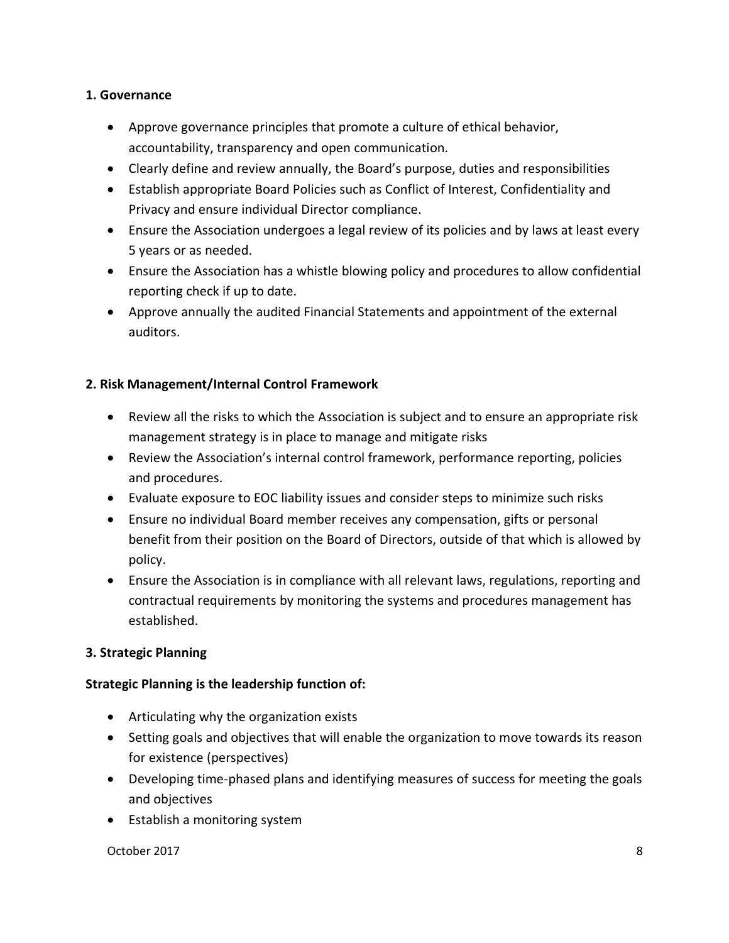#### **1. Governance**

- Approve governance principles that promote a culture of ethical behavior, accountability, transparency and open communication.
- Clearly define and review annually, the Board's purpose, duties and responsibilities
- Establish appropriate Board Policies such as Conflict of Interest, Confidentiality and Privacy and ensure individual Director compliance.
- Ensure the Association undergoes a legal review of its policies and by laws at least every 5 years or as needed.
- Ensure the Association has a whistle blowing policy and procedures to allow confidential reporting check if up to date.
- Approve annually the audited Financial Statements and appointment of the external auditors.

### **2. Risk Management/Internal Control Framework**

- Review all the risks to which the Association is subject and to ensure an appropriate risk management strategy is in place to manage and mitigate risks
- Review the Association's internal control framework, performance reporting, policies and procedures.
- Evaluate exposure to EOC liability issues and consider steps to minimize such risks
- Ensure no individual Board member receives any compensation, gifts or personal benefit from their position on the Board of Directors, outside of that which is allowed by policy.
- Ensure the Association is in compliance with all relevant laws, regulations, reporting and contractual requirements by monitoring the systems and procedures management has established.

#### **3. Strategic Planning**

#### **Strategic Planning is the leadership function of:**

- Articulating why the organization exists
- Setting goals and objectives that will enable the organization to move towards its reason for existence (perspectives)
- Developing time-phased plans and identifying measures of success for meeting the goals and objectives
- Establish a monitoring system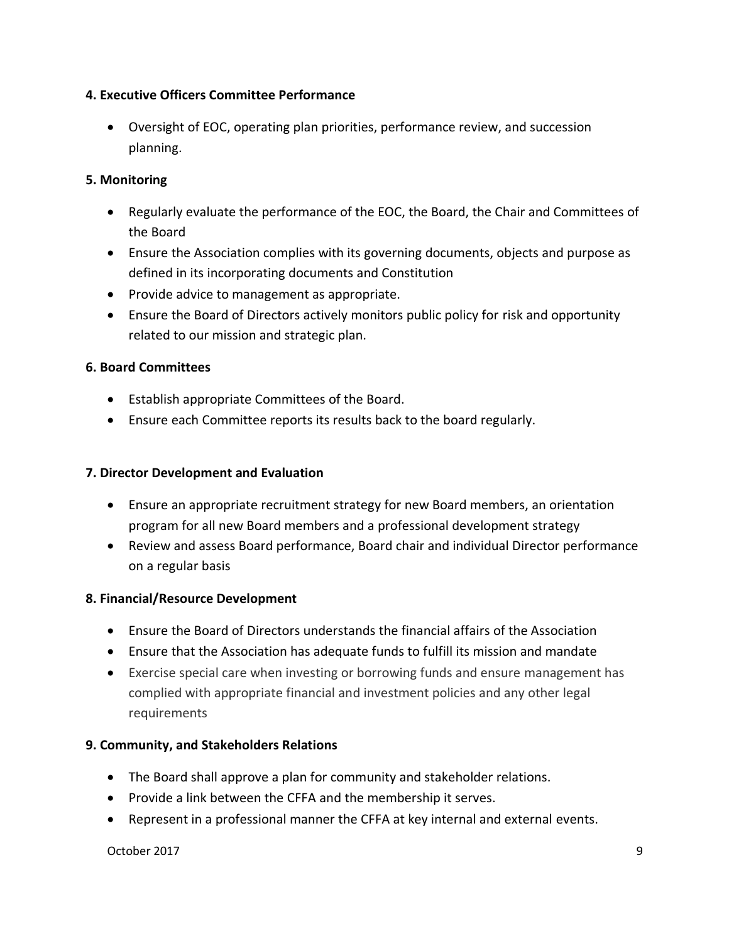#### **4. Executive Officers Committee Performance**

• Oversight of EOC, operating plan priorities, performance review, and succession planning.

#### **5. Monitoring**

- Regularly evaluate the performance of the EOC, the Board, the Chair and Committees of the Board
- Ensure the Association complies with its governing documents, objects and purpose as defined in its incorporating documents and Constitution
- Provide advice to management as appropriate.
- Ensure the Board of Directors actively monitors public policy for risk and opportunity related to our mission and strategic plan.

#### **6. Board Committees**

- Establish appropriate Committees of the Board.
- Ensure each Committee reports its results back to the board regularly.

#### **7. Director Development and Evaluation**

- Ensure an appropriate recruitment strategy for new Board members, an orientation program for all new Board members and a professional development strategy
- Review and assess Board performance, Board chair and individual Director performance on a regular basis

#### **8. Financial/Resource Development**

- Ensure the Board of Directors understands the financial affairs of the Association
- Ensure that the Association has adequate funds to fulfill its mission and mandate
- Exercise special care when investing or borrowing funds and ensure management has complied with appropriate financial and investment policies and any other legal requirements

#### **9. Community, and Stakeholders Relations**

- The Board shall approve a plan for community and stakeholder relations.
- Provide a link between the CFFA and the membership it serves.
- Represent in a professional manner the CFFA at key internal and external events.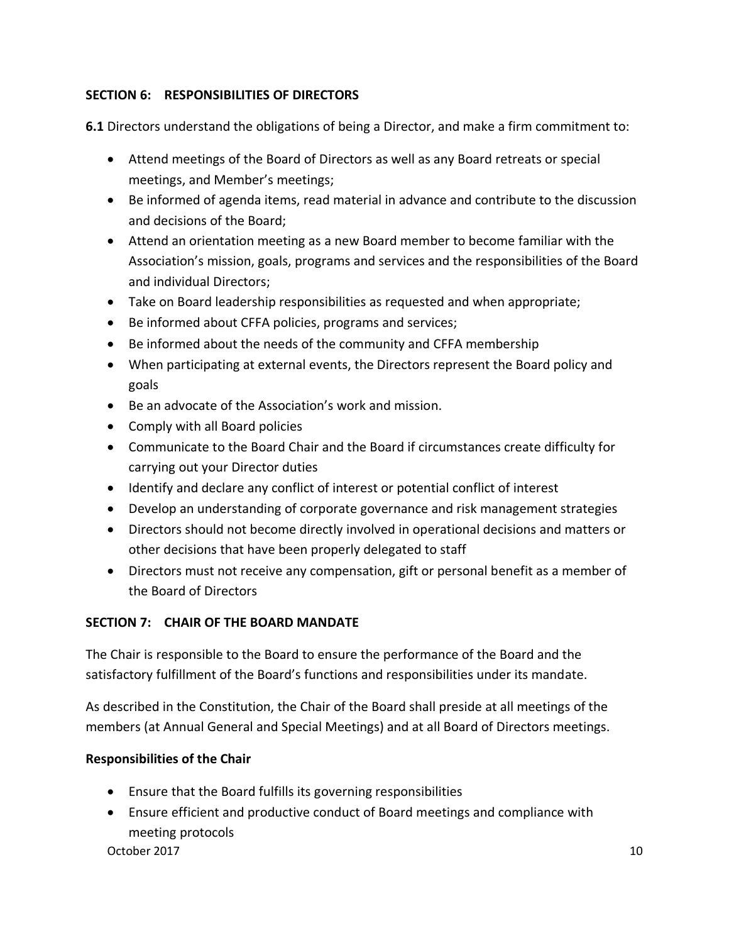### **SECTION 6: RESPONSIBILITIES OF DIRECTORS**

**6.1** Directors understand the obligations of being a Director, and make a firm commitment to:

- Attend meetings of the Board of Directors as well as any Board retreats or special meetings, and Member's meetings;
- Be informed of agenda items, read material in advance and contribute to the discussion and decisions of the Board;
- Attend an orientation meeting as a new Board member to become familiar with the Association's mission, goals, programs and services and the responsibilities of the Board and individual Directors;
- Take on Board leadership responsibilities as requested and when appropriate;
- Be informed about CFFA policies, programs and services;
- Be informed about the needs of the community and CFFA membership
- When participating at external events, the Directors represent the Board policy and goals
- Be an advocate of the Association's work and mission.
- Comply with all Board policies
- Communicate to the Board Chair and the Board if circumstances create difficulty for carrying out your Director duties
- Identify and declare any conflict of interest or potential conflict of interest
- Develop an understanding of corporate governance and risk management strategies
- Directors should not become directly involved in operational decisions and matters or other decisions that have been properly delegated to staff
- Directors must not receive any compensation, gift or personal benefit as a member of the Board of Directors

#### **SECTION 7: CHAIR OF THE BOARD MANDATE**

The Chair is responsible to the Board to ensure the performance of the Board and the satisfactory fulfillment of the Board's functions and responsibilities under its mandate.

As described in the Constitution, the Chair of the Board shall preside at all meetings of the members (at Annual General and Special Meetings) and at all Board of Directors meetings.

#### **Responsibilities of the Chair**

- Ensure that the Board fulfills its governing responsibilities
- Ensure efficient and productive conduct of Board meetings and compliance with meeting protocols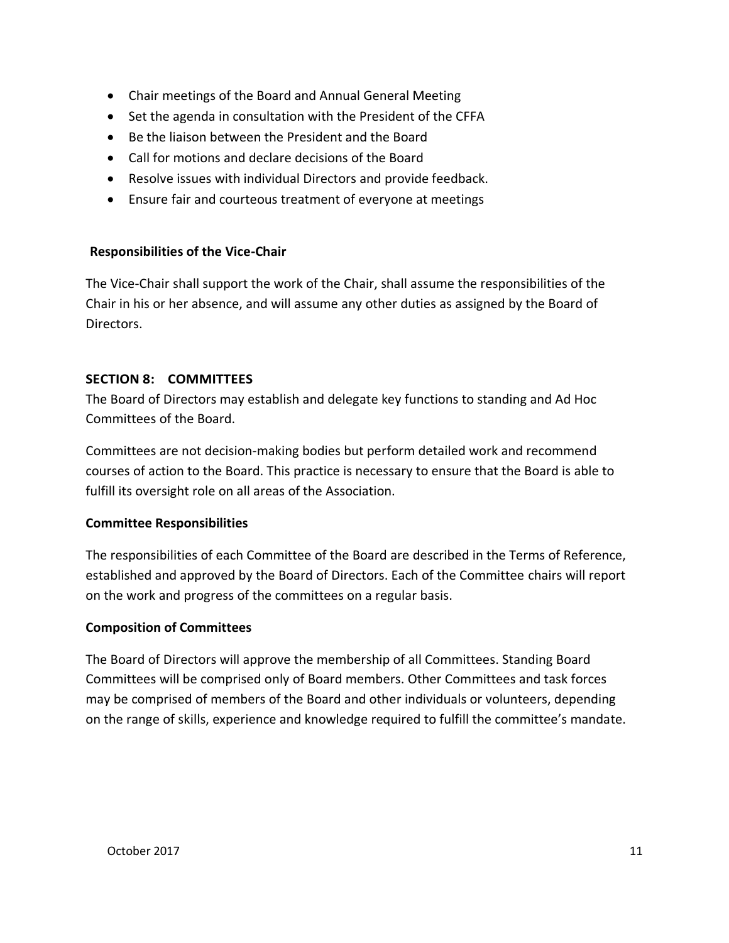- Chair meetings of the Board and Annual General Meeting
- Set the agenda in consultation with the President of the CFFA
- Be the liaison between the President and the Board
- Call for motions and declare decisions of the Board
- Resolve issues with individual Directors and provide feedback.
- Ensure fair and courteous treatment of everyone at meetings

#### **Responsibilities of the Vice-Chair**

The Vice-Chair shall support the work of the Chair, shall assume the responsibilities of the Chair in his or her absence, and will assume any other duties as assigned by the Board of Directors.

#### **SECTION 8: COMMITTEES**

The Board of Directors may establish and delegate key functions to standing and Ad Hoc Committees of the Board.

Committees are not decision-making bodies but perform detailed work and recommend courses of action to the Board. This practice is necessary to ensure that the Board is able to fulfill its oversight role on all areas of the Association.

#### **Committee Responsibilities**

The responsibilities of each Committee of the Board are described in the Terms of Reference, established and approved by the Board of Directors. Each of the Committee chairs will report on the work and progress of the committees on a regular basis.

#### **Composition of Committees**

The Board of Directors will approve the membership of all Committees. Standing Board Committees will be comprised only of Board members. Other Committees and task forces may be comprised of members of the Board and other individuals or volunteers, depending on the range of skills, experience and knowledge required to fulfill the committee's mandate.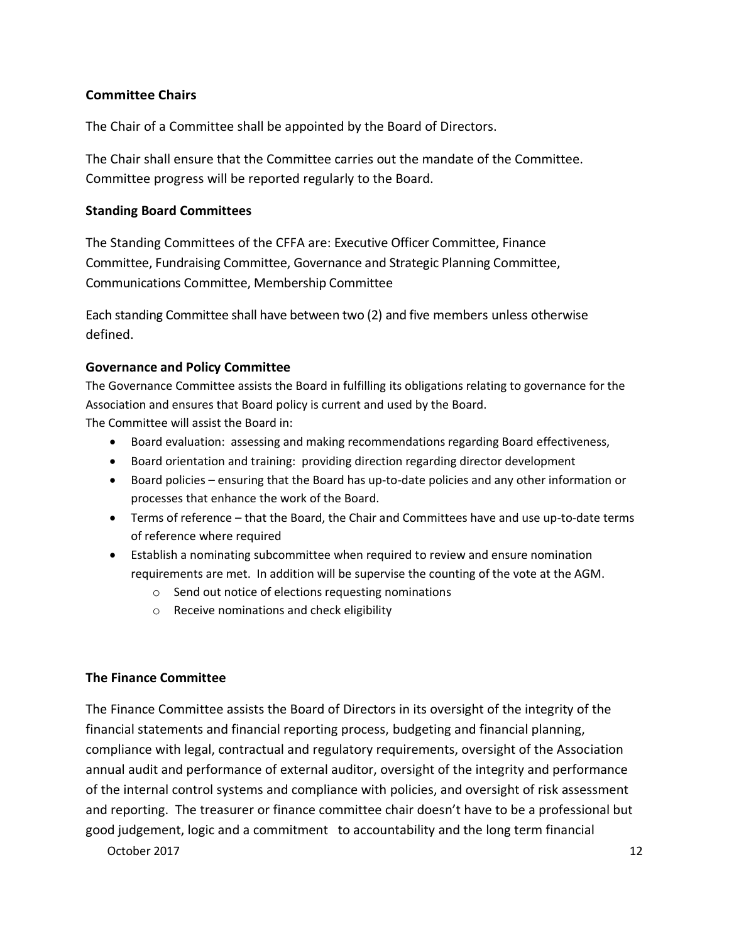#### **Committee Chairs**

The Chair of a Committee shall be appointed by the Board of Directors.

The Chair shall ensure that the Committee carries out the mandate of the Committee. Committee progress will be reported regularly to the Board.

#### **Standing Board Committees**

The Standing Committees of the CFFA are: Executive Officer Committee, Finance Committee, Fundraising Committee, Governance and Strategic Planning Committee, Communications Committee, Membership Committee

Each standing Committee shall have between two (2) and five members unless otherwise defined.

#### **Governance and Policy Committee**

The Governance Committee assists the Board in fulfilling its obligations relating to governance for the Association and ensures that Board policy is current and used by the Board. The Committee will assist the Board in:

- Board evaluation: assessing and making recommendations regarding Board effectiveness,
- Board orientation and training: providing direction regarding director development
- Board policies ensuring that the Board has up-to-date policies and any other information or processes that enhance the work of the Board.
- Terms of reference that the Board, the Chair and Committees have and use up-to-date terms of reference where required
- Establish a nominating subcommittee when required to review and ensure nomination requirements are met. In addition will be supervise the counting of the vote at the AGM.
	- o Send out notice of elections requesting nominations
	- o Receive nominations and check eligibility

#### **The Finance Committee**

The Finance Committee assists the Board of Directors in its oversight of the integrity of the financial statements and financial reporting process, budgeting and financial planning, compliance with legal, contractual and regulatory requirements, oversight of the Association annual audit and performance of external auditor, oversight of the integrity and performance of the internal control systems and compliance with policies, and oversight of risk assessment and reporting. The treasurer or finance committee chair doesn't have to be a professional but good judgement, logic and a commitment to accountability and the long term financial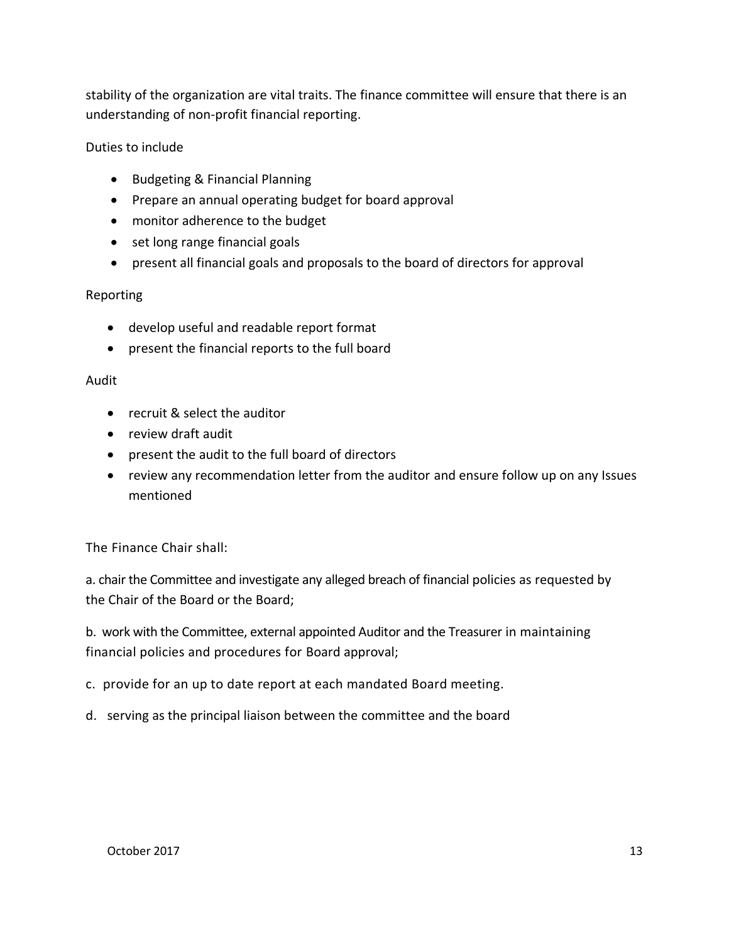stability of the organization are vital traits. The finance committee will ensure that there is an understanding of non-profit financial reporting.

#### Duties to include

- Budgeting & Financial Planning
- Prepare an annual operating budget for board approval
- monitor adherence to the budget
- set long range financial goals
- present all financial goals and proposals to the board of directors for approval

#### Reporting

- develop useful and readable report format
- present the financial reports to the full board

#### Audit

- recruit & select the auditor
- review draft audit
- present the audit to the full board of directors
- review any recommendation letter from the auditor and ensure follow up on any Issues mentioned

The Finance Chair shall:

a. chair the Committee and investigate any alleged breach of financial policies as requested by the Chair of the Board or the Board;

b. work with the Committee, external appointed Auditor and the Treasurer in maintaining financial policies and procedures for Board approval;

c. provide for an up to date report at each mandated Board meeting.

d. serving as the principal liaison between the committee and the board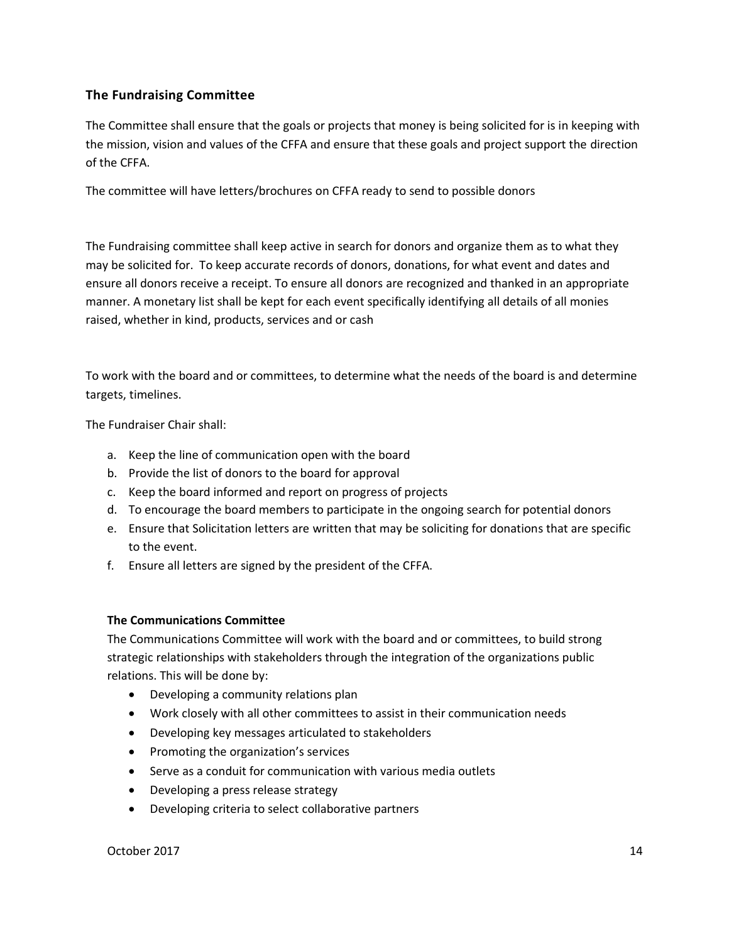#### **The Fundraising Committee**

The Committee shall ensure that the goals or projects that money is being solicited for is in keeping with the mission, vision and values of the CFFA and ensure that these goals and project support the direction of the CFFA.

The committee will have letters/brochures on CFFA ready to send to possible donors

The Fundraising committee shall keep active in search for donors and organize them as to what they may be solicited for. To keep accurate records of donors, donations, for what event and dates and ensure all donors receive a receipt. To ensure all donors are recognized and thanked in an appropriate manner. A monetary list shall be kept for each event specifically identifying all details of all monies raised, whether in kind, products, services and or cash

To work with the board and or committees, to determine what the needs of the board is and determine targets, timelines.

The Fundraiser Chair shall:

- a. Keep the line of communication open with the board
- b. Provide the list of donors to the board for approval
- c. Keep the board informed and report on progress of projects
- d. To encourage the board members to participate in the ongoing search for potential donors
- e. Ensure that Solicitation letters are written that may be soliciting for donations that are specific to the event.
- f. Ensure all letters are signed by the president of the CFFA.

#### **The Communications Committee**

The Communications Committee will work with the board and or committees, to build strong strategic relationships with stakeholders through the integration of the organizations public relations. This will be done by:

- Developing a community relations plan
- Work closely with all other committees to assist in their communication needs
- Developing key messages articulated to stakeholders
- Promoting the organization's services
- Serve as a conduit for communication with various media outlets
- Developing a press release strategy
- Developing criteria to select collaborative partners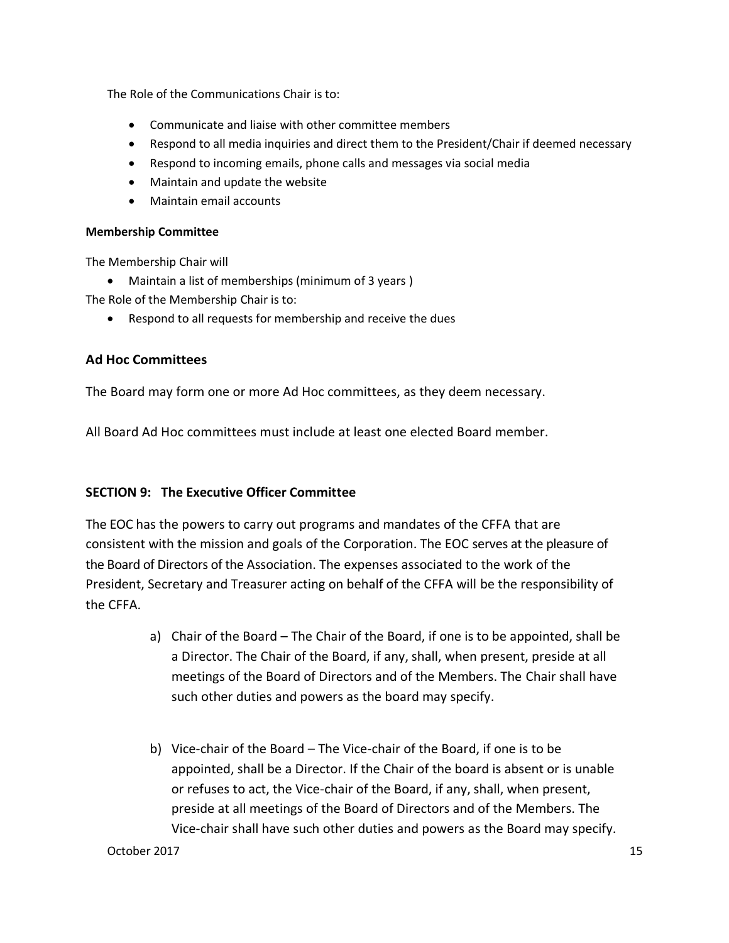The Role of the Communications Chair is to:

- Communicate and liaise with other committee members
- Respond to all media inquiries and direct them to the President/Chair if deemed necessary
- Respond to incoming emails, phone calls and messages via social media
- Maintain and update the website
- Maintain email accounts

#### **Membership Committee**

The Membership Chair will

• Maintain a list of memberships (minimum of 3 years )

The Role of the Membership Chair is to:

• Respond to all requests for membership and receive the dues

#### **Ad Hoc Committees**

The Board may form one or more Ad Hoc committees, as they deem necessary.

All Board Ad Hoc committees must include at least one elected Board member.

#### **SECTION 9: The Executive Officer Committee**

The EOC has the powers to carry out programs and mandates of the CFFA that are consistent with the mission and goals of the Corporation. The EOC serves at the pleasure of the Board of Directors of the Association. The expenses associated to the work of the President, Secretary and Treasurer acting on behalf of the CFFA will be the responsibility of the CFFA.

- a) Chair of the Board The Chair of the Board, if one is to be appointed, shall be a Director. The Chair of the Board, if any, shall, when present, preside at all meetings of the Board of Directors and of the Members. The Chair shall have such other duties and powers as the board may specify.
- b) Vice-chair of the Board The Vice-chair of the Board, if one is to be appointed, shall be a Director. If the Chair of the board is absent or is unable or refuses to act, the Vice-chair of the Board, if any, shall, when present, preside at all meetings of the Board of Directors and of the Members. The Vice-chair shall have such other duties and powers as the Board may specify.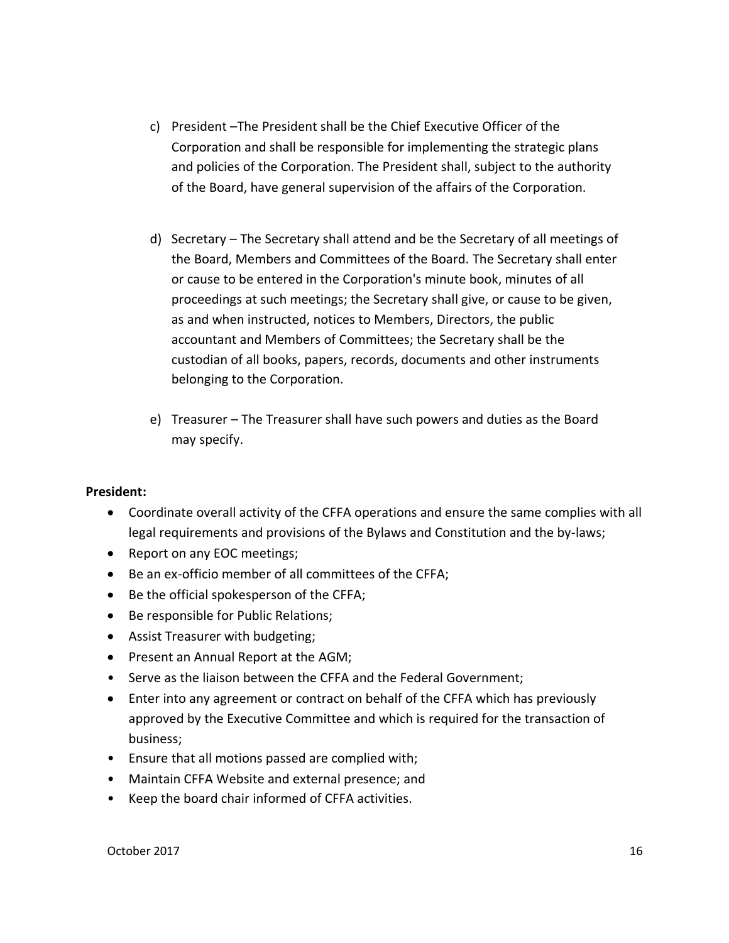- c) President –The President shall be the Chief Executive Officer of the Corporation and shall be responsible for implementing the strategic plans and policies of the Corporation. The President shall, subject to the authority of the Board, have general supervision of the affairs of the Corporation.
- d) Secretary The Secretary shall attend and be the Secretary of all meetings of the Board, Members and Committees of the Board. The Secretary shall enter or cause to be entered in the Corporation's minute book, minutes of all proceedings at such meetings; the Secretary shall give, or cause to be given, as and when instructed, notices to Members, Directors, the public accountant and Members of Committees; the Secretary shall be the custodian of all books, papers, records, documents and other instruments belonging to the Corporation.
- e) Treasurer The Treasurer shall have such powers and duties as the Board may specify.

#### **President:**

- Coordinate overall activity of the CFFA operations and ensure the same complies with all legal requirements and provisions of the Bylaws and Constitution and the by-laws;
- Report on any EOC meetings;
- Be an ex-officio member of all committees of the CFFA;
- Be the official spokesperson of the CFFA;
- Be responsible for Public Relations;
- Assist Treasurer with budgeting;
- Present an Annual Report at the AGM;
- Serve as the liaison between the CFFA and the Federal Government;
- Enter into any agreement or contract on behalf of the CFFA which has previously approved by the Executive Committee and which is required for the transaction of business;
- Ensure that all motions passed are complied with;
- Maintain CFFA Website and external presence; and
- Keep the board chair informed of CFFA activities.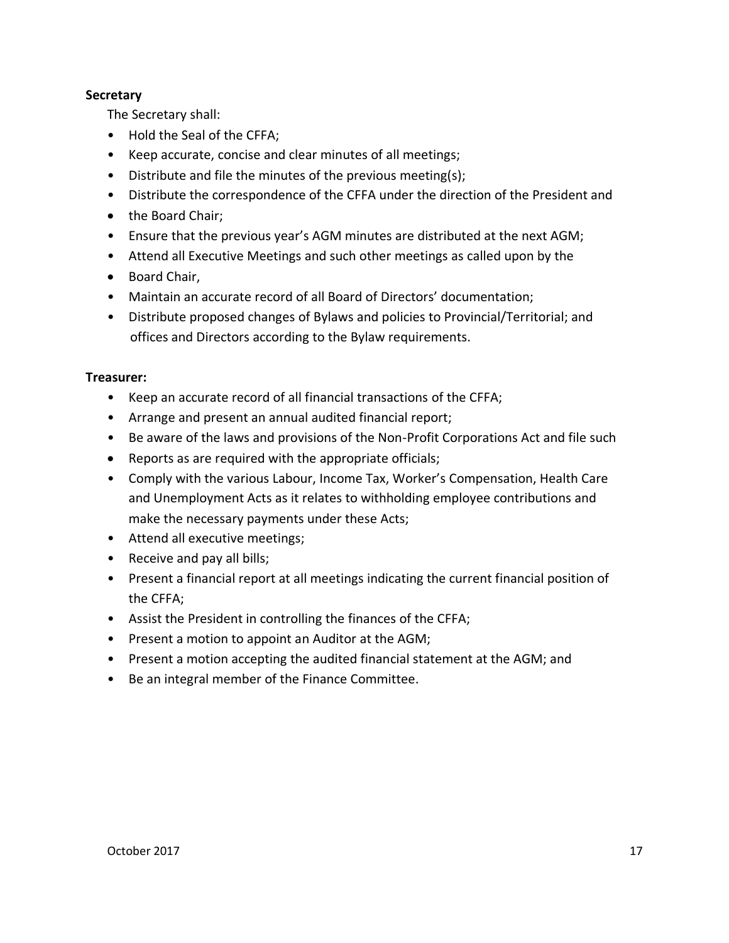#### **Secretary**

The Secretary shall:

- Hold the Seal of the CFFA;
- Keep accurate, concise and clear minutes of all meetings;
- Distribute and file the minutes of the previous meeting(s);
- Distribute the correspondence of the CFFA under the direction of the President and
- the Board Chair;
- Ensure that the previous year's AGM minutes are distributed at the next AGM;
- Attend all Executive Meetings and such other meetings as called upon by the
- Board Chair,
- Maintain an accurate record of all Board of Directors' documentation;
- Distribute proposed changes of Bylaws and policies to Provincial/Territorial; and offices and Directors according to the Bylaw requirements.

#### **Treasurer:**

- Keep an accurate record of all financial transactions of the CFFA;
- Arrange and present an annual audited financial report;
- Be aware of the laws and provisions of the Non-Profit Corporations Act and file such
- Reports as are required with the appropriate officials;
- Comply with the various Labour, Income Tax, Worker's Compensation, Health Care and Unemployment Acts as it relates to withholding employee contributions and make the necessary payments under these Acts;
- Attend all executive meetings;
- Receive and pay all bills;
- Present a financial report at all meetings indicating the current financial position of the CFFA;
- Assist the President in controlling the finances of the CFFA;
- Present a motion to appoint an Auditor at the AGM;
- Present a motion accepting the audited financial statement at the AGM; and
- Be an integral member of the Finance Committee.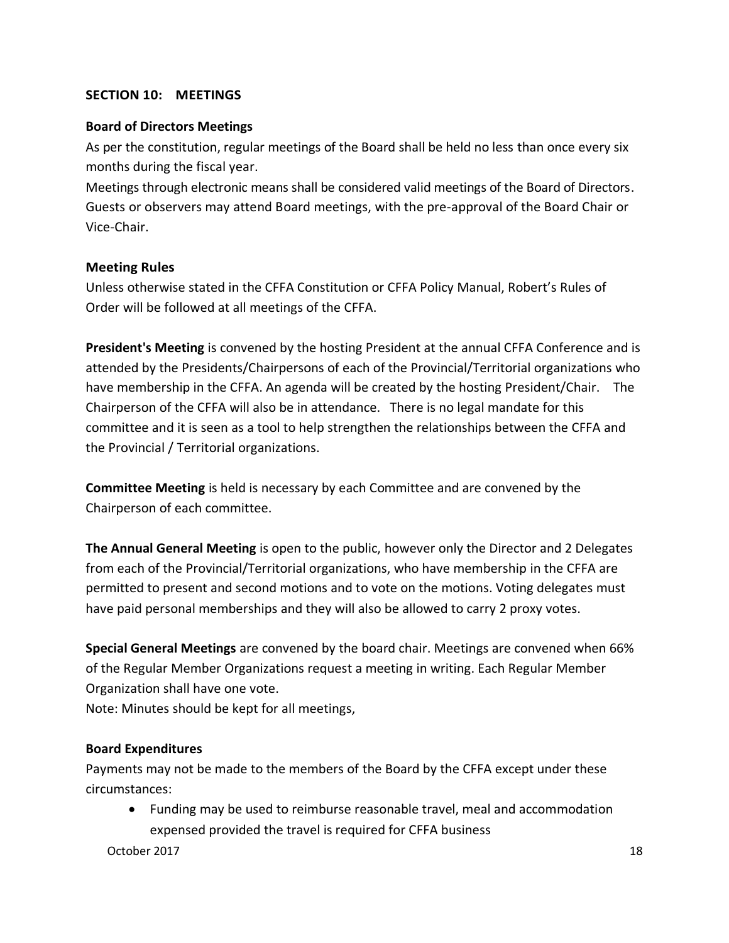#### **SECTION 10: MEETINGS**

#### **Board of Directors Meetings**

As per the constitution, regular meetings of the Board shall be held no less than once every six months during the fiscal year.

Meetings through electronic means shall be considered valid meetings of the Board of Directors. Guests or observers may attend Board meetings, with the pre-approval of the Board Chair or Vice-Chair.

#### **Meeting Rules**

Unless otherwise stated in the CFFA Constitution or CFFA Policy Manual, Robert's Rules of Order will be followed at all meetings of the CFFA.

**President's Meeting** is convened by the hosting President at the annual CFFA Conference and is attended by the Presidents/Chairpersons of each of the Provincial/Territorial organizations who have membership in the CFFA. An agenda will be created by the hosting President/Chair. The Chairperson of the CFFA will also be in attendance. There is no legal mandate for this committee and it is seen as a tool to help strengthen the relationships between the CFFA and the Provincial / Territorial organizations.

**Committee Meeting** is held is necessary by each Committee and are convened by the Chairperson of each committee.

**The Annual General Meeting** is open to the public, however only the Director and 2 Delegates from each of the Provincial/Territorial organizations, who have membership in the CFFA are permitted to present and second motions and to vote on the motions. Voting delegates must have paid personal memberships and they will also be allowed to carry 2 proxy votes.

**Special General Meetings** are convened by the board chair. Meetings are convened when 66% of the Regular Member Organizations request a meeting in writing. Each Regular Member Organization shall have one vote.

Note: Minutes should be kept for all meetings,

#### **Board Expenditures**

Payments may not be made to the members of the Board by the CFFA except under these circumstances:

• Funding may be used to reimburse reasonable travel, meal and accommodation expensed provided the travel is required for CFFA business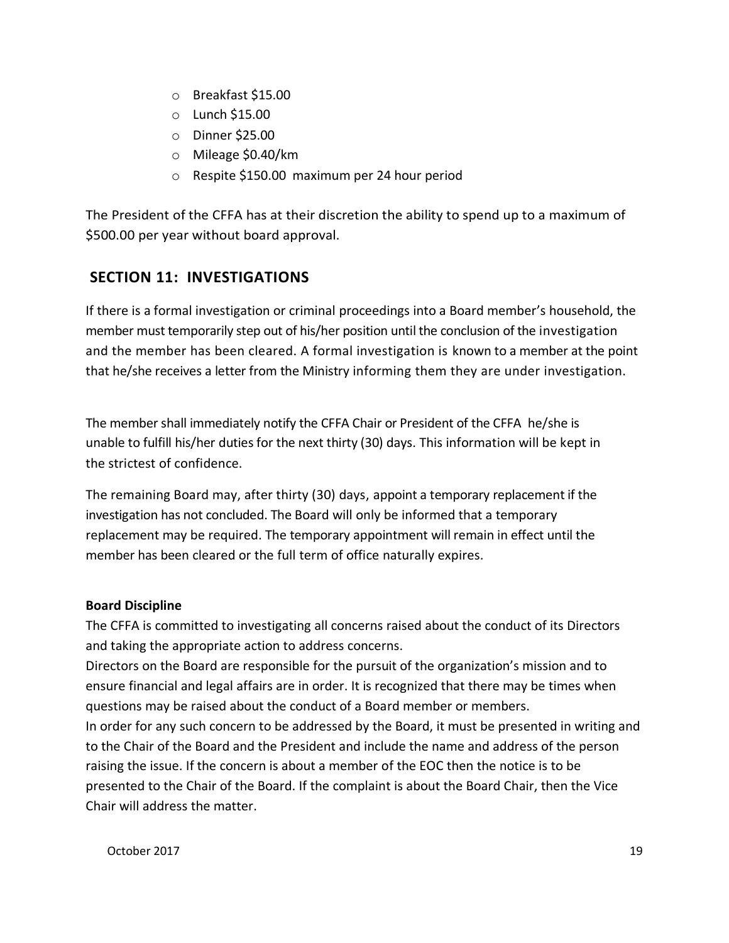- o Breakfast \$15.00
- o Lunch \$15.00
- o Dinner \$25.00
- o Mileage \$0.40/km
- o Respite \$150.00 maximum per 24 hour period

The President of the CFFA has at their discretion the ability to spend up to a maximum of \$500.00 per year without board approval.

# **SECTION 11: INVESTIGATIONS**

If there is a formal investigation or criminal proceedings into a Board member's household, the member must temporarily step out of his/her position until the conclusion of the investigation and the member has been cleared. A formal investigation is known to a member at the point that he/she receives a letter from the Ministry informing them they are under investigation.

The member shall immediately notify the CFFA Chair or President of the CFFA he/she is unable to fulfill his/her duties for the next thirty (30) days. This information will be kept in the strictest of confidence.

The remaining Board may, after thirty (30) days, appoint a temporary replacement if the investigation has not concluded. The Board will only be informed that a temporary replacement may be required. The temporary appointment will remain in effect until the member has been cleared or the full term of office naturally expires.

#### **Board Discipline**

The CFFA is committed to investigating all concerns raised about the conduct of its Directors and taking the appropriate action to address concerns.

Directors on the Board are responsible for the pursuit of the organization's mission and to ensure financial and legal affairs are in order. It is recognized that there may be times when questions may be raised about the conduct of a Board member or members.

In order for any such concern to be addressed by the Board, it must be presented in writing and to the Chair of the Board and the President and include the name and address of the person raising the issue. If the concern is about a member of the EOC then the notice is to be presented to the Chair of the Board. If the complaint is about the Board Chair, then the Vice Chair will address the matter.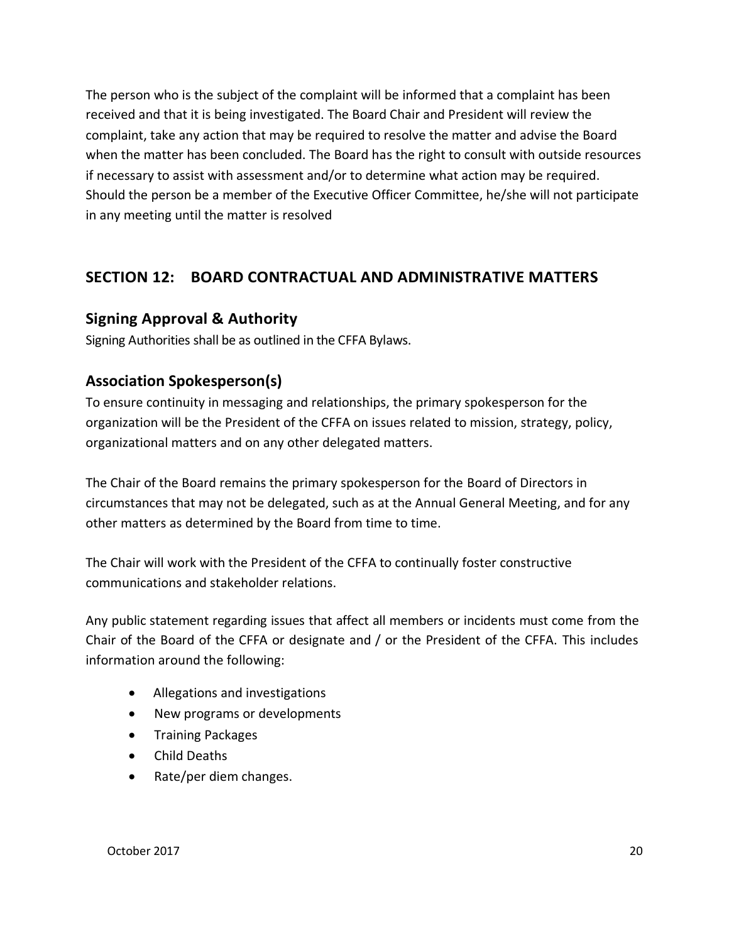The person who is the subject of the complaint will be informed that a complaint has been received and that it is being investigated. The Board Chair and President will review the complaint, take any action that may be required to resolve the matter and advise the Board when the matter has been concluded. The Board has the right to consult with outside resources if necessary to assist with assessment and/or to determine what action may be required. Should the person be a member of the Executive Officer Committee, he/she will not participate in any meeting until the matter is resolved

# **SECTION 12: BOARD CONTRACTUAL AND ADMINISTRATIVE MATTERS**

## **Signing Approval & Authority**

Signing Authorities shall be as outlined in the CFFA Bylaws.

# **Association Spokesperson(s)**

To ensure continuity in messaging and relationships, the primary spokesperson for the organization will be the President of the CFFA on issues related to mission, strategy, policy, organizational matters and on any other delegated matters.

The Chair of the Board remains the primary spokesperson for the Board of Directors in circumstances that may not be delegated, such as at the Annual General Meeting, and for any other matters as determined by the Board from time to time.

The Chair will work with the President of the CFFA to continually foster constructive communications and stakeholder relations.

Any public statement regarding issues that affect all members or incidents must come from the Chair of the Board of the CFFA or designate and / or the President of the CFFA. This includes information around the following:

- Allegations and investigations
- New programs or developments
- Training Packages
- Child Deaths
- Rate/per diem changes.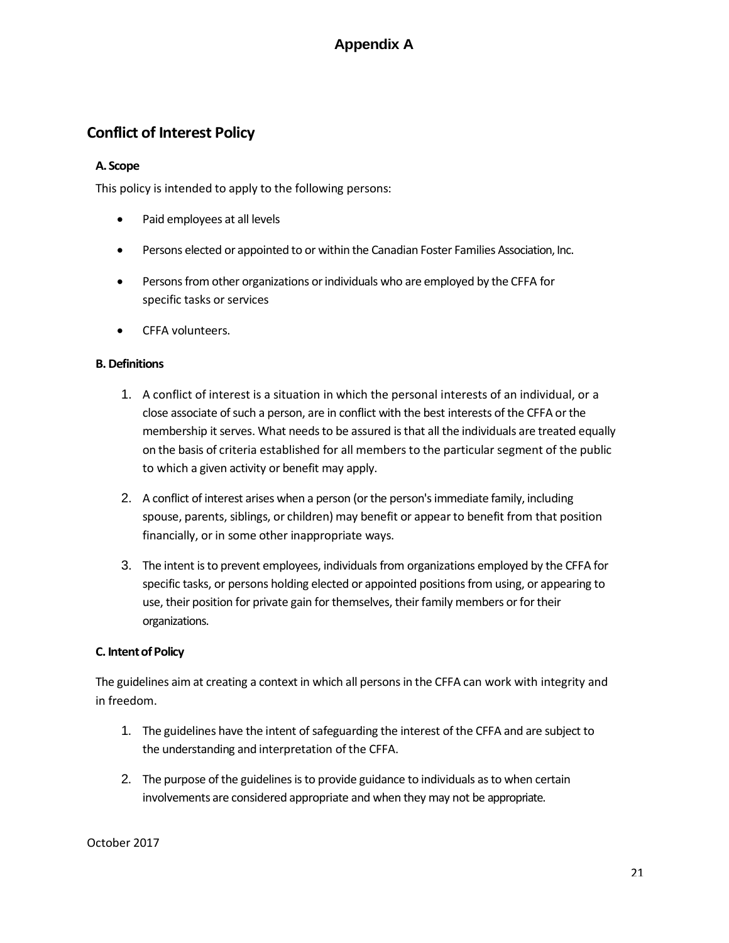# **Appendix A**

# **Conflict of Interest Policy**

#### **A. Scope**

This policy is intended to apply to the following persons:

- Paid employees at all levels
- Persons elected or appointed to or within the Canadian Foster Families Association, Inc.
- Persons from other organizations or individuals who are employed by the CFFA for specific tasks or services
- CFFA volunteers.

#### **B. Definitions**

- 1. A conflict of interest is a situation in which the personal interests of an individual, or a close associate of such a person, are in conflict with the best interests of the CFFA or the membership it serves. What needs to be assured is that all the individuals are treated equally on the basis of criteria established for all members to the particular segment of the public to which a given activity or benefit may apply.
- 2. A conflict of interest arises when a person (or the person's immediate family, including spouse, parents, siblings, or children) may benefit or appear to benefit from that position financially, or in some other inappropriate ways.
- 3. The intent is to prevent employees, individuals from organizations employed by the CFFA for specific tasks, or persons holding elected or appointed positions from using, or appearing to use, their position for private gain for themselves, their family members or for their organizations.

#### **C. Intent of Policy**

The guidelines aim at creating a context in which all persons in the CFFA can work with integrity and in freedom.

- 1. The guidelines have the intent of safeguarding the interest of the CFFA and are subject to the understanding and interpretation of the CFFA.
- 2. The purpose of the guidelines is to provide guidance to individuals as to when certain involvements are considered appropriate and when they may not be appropriate.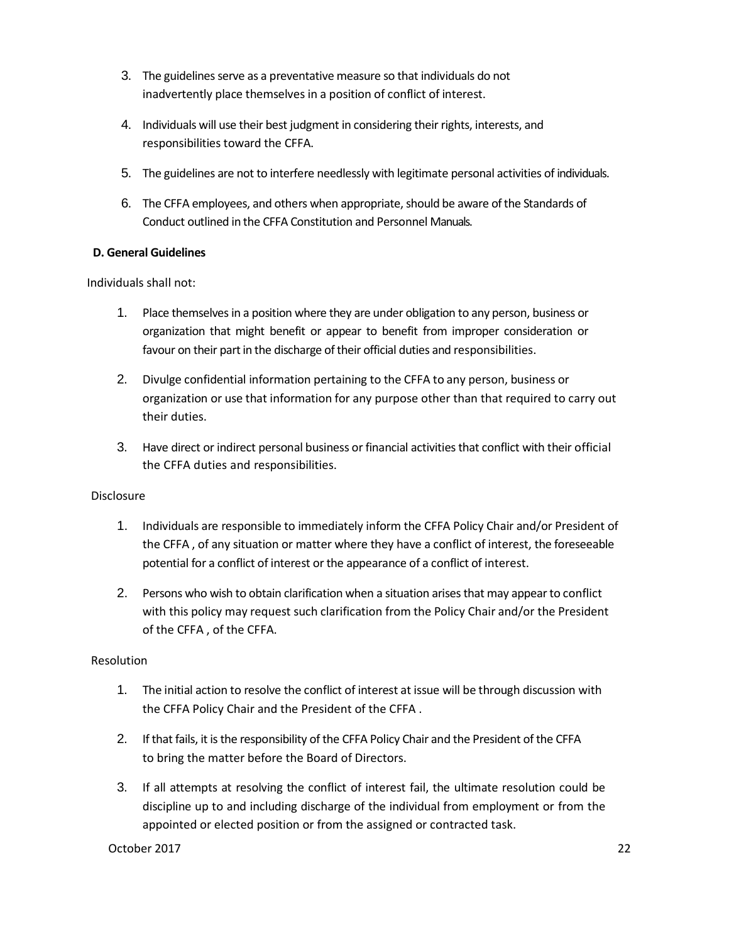- 3. The guidelines serve as a preventative measure so that individuals do not inadvertently place themselves in a position of conflict of interest.
- 4. Individuals will use their best judgment in considering their rights, interests, and responsibilities toward the CFFA.
- 5. The guidelines are not to interfere needlessly with legitimate personal activities of individuals.
- 6. The CFFA employees, and others when appropriate, should be aware of the Standards of Conduct outlined in the CFFA Constitution and Personnel Manuals.

#### **D. General Guidelines**

Individuals shall not:

- 1. Place themselves in a position where they are under obligation to any person, business or organization that might benefit or appear to benefit from improper consideration or favour on their part in the discharge of their official duties and responsibilities.
- 2. Divulge confidential information pertaining to the CFFA to any person, business or organization or use that information for any purpose other than that required to carry out their duties.
- 3. Have direct or indirect personal business or financial activities that conflict with their official the CFFA duties and responsibilities.

#### Disclosure

- 1. Individuals are responsible to immediately inform the CFFA Policy Chair and/or President of the CFFA , of any situation or matter where they have a conflict of interest, the foreseeable potential for a conflict of interest or the appearance of a conflict of interest.
- 2. Persons who wish to obtain clarification when a situation arises that may appear to conflict with this policy may request such clarification from the Policy Chair and/or the President of the CFFA , of the CFFA.

#### Resolution

- 1. The initial action to resolve the conflict of interest at issue will be through discussion with the CFFA Policy Chair and the President of the CFFA .
- 2. If that fails, it is the responsibility of the CFFA Policy Chair and the President of the CFFA to bring the matter before the Board of Directors.
- 3. If all attempts at resolving the conflict of interest fail, the ultimate resolution could be discipline up to and including discharge of the individual from employment or from the appointed or elected position or from the assigned or contracted task.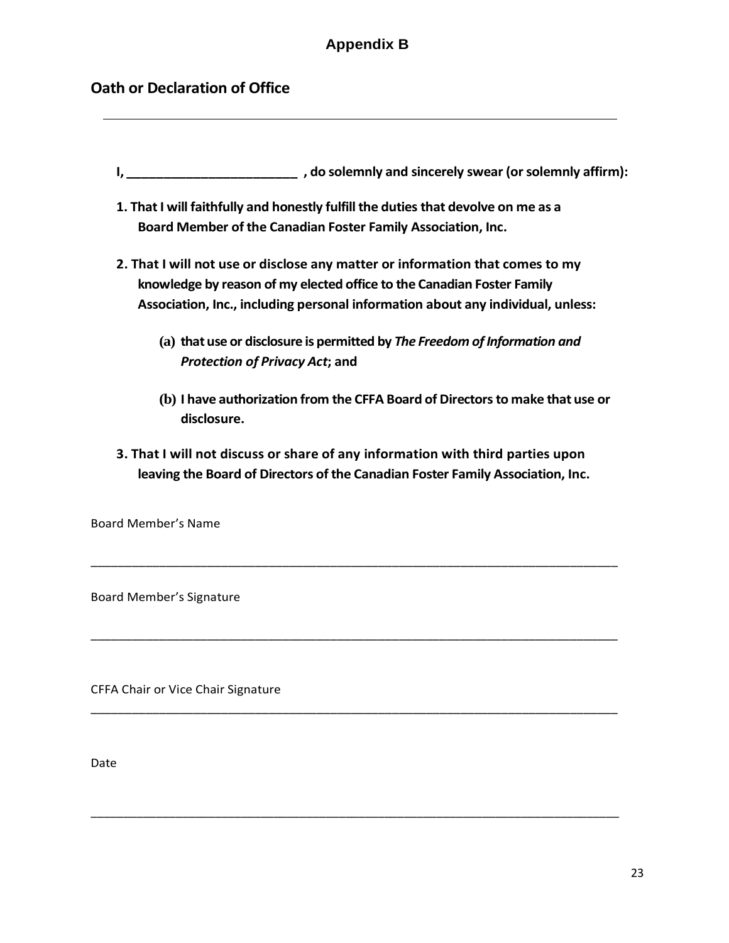# **Appendix B**

## **Oath or Declaration of Office**

- **I, \_\_\_\_\_\_\_\_\_\_\_\_\_\_\_\_\_\_\_\_\_\_\_ , do solemnly and sincerely swear (or solemnly affirm):**
- **1. That I will faithfully and honestly fulfill the duties that devolve on me as a Board Member of the Canadian Foster Family Association, Inc.**
- **2. That I will not use or disclose any matter or information that comes to my knowledge by reason of my elected office to the Canadian Foster Family Association, Inc., including personal information about any individual, unless:**
	- **(a) that use or disclosure is permitted by** *The Freedom of Information and Protection of Privacy Act***; and**
	- **(b) I have authorization from the CFFA Board of Directors to make that use or disclosure.**
- **3. That I will not discuss or share of any information with third parties upon leaving the Board of Directors of the Canadian Foster Family Association, Inc.**

\_\_\_\_\_\_\_\_\_\_\_\_\_\_\_\_\_\_\_\_\_\_\_\_\_\_\_\_\_\_\_\_\_\_\_\_\_\_\_\_\_\_\_\_\_\_\_\_\_\_\_\_\_\_\_\_\_\_\_\_\_\_\_\_\_\_\_\_\_\_\_\_\_\_\_\_\_

\_\_\_\_\_\_\_\_\_\_\_\_\_\_\_\_\_\_\_\_\_\_\_\_\_\_\_\_\_\_\_\_\_\_\_\_\_\_\_\_\_\_\_\_\_\_\_\_\_\_\_\_\_\_\_\_\_\_\_\_\_\_\_\_\_\_\_\_\_\_\_\_\_\_\_\_\_

\_\_\_\_\_\_\_\_\_\_\_\_\_\_\_\_\_\_\_\_\_\_\_\_\_\_\_\_\_\_\_\_\_\_\_\_\_\_\_\_\_\_\_\_\_\_\_\_\_\_\_\_\_\_\_\_\_\_\_\_\_\_\_\_\_\_\_\_\_\_\_\_\_\_\_\_\_

\_\_\_\_\_\_\_\_\_\_\_\_\_\_\_\_\_\_\_\_\_\_\_\_\_\_\_\_\_\_\_\_\_\_\_\_\_\_\_\_\_\_\_\_\_\_\_\_\_\_\_\_\_\_\_\_\_\_\_\_\_\_\_\_\_\_\_\_\_\_\_\_\_\_\_\_\_\_\_\_\_

Board Member's Name

Board Member's Signature

CFFA Chair or Vice Chair Signature

Date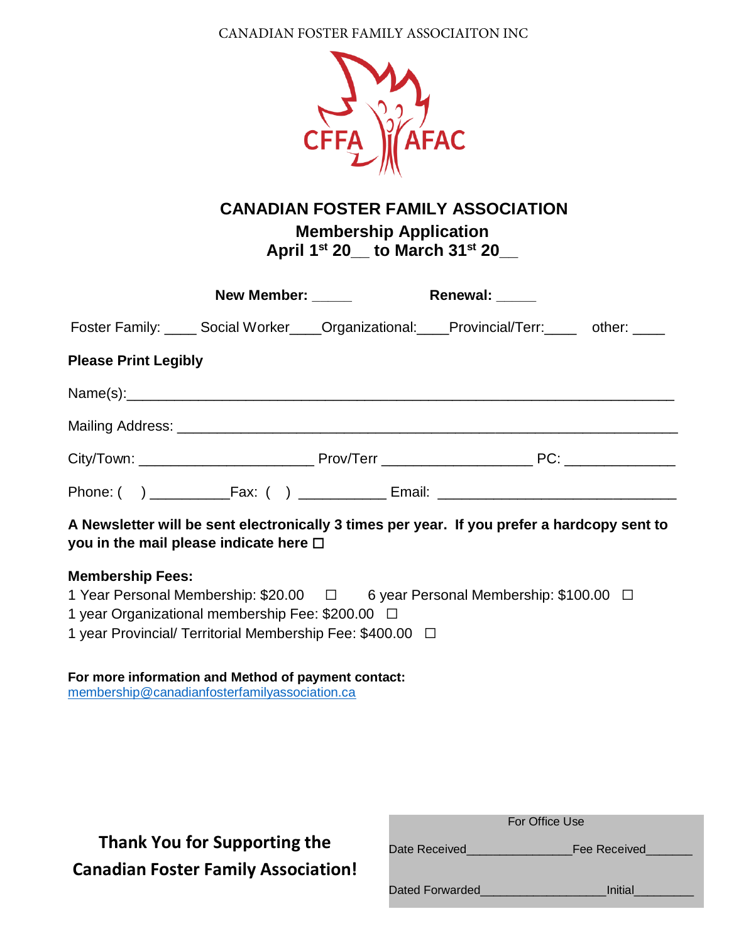CANADIAN FOSTER FAMILY ASSOCIAITON INC



**CANADIAN FOSTER FAMILY ASSOCIATION**

**Membership Application April 1 st 20\_\_ to March 31st 20\_\_**

|                                                                                                                                            | New Member: _____ | Renewal: _____ |  |
|--------------------------------------------------------------------------------------------------------------------------------------------|-------------------|----------------|--|
| Foster Family: _____ Social Worker____Organizational: ____Provincial/Terr: _____ other: ____                                               |                   |                |  |
| <b>Please Print Legibly</b>                                                                                                                |                   |                |  |
|                                                                                                                                            |                   |                |  |
|                                                                                                                                            |                   |                |  |
|                                                                                                                                            |                   |                |  |
|                                                                                                                                            |                   |                |  |
| A Newsletter will be sent electronically 3 times per year. If you prefer a hardcopy sent to<br>you in the mail please indicate here $\Box$ |                   |                |  |
| <b>Membership Fees:</b>                                                                                                                    |                   |                |  |
| 1 Year Personal Membership: \$20.00 $\Box$ 6 year Personal Membership: \$100.00 $\Box$                                                     |                   |                |  |
| 1 year Organizational membership Fee: \$200.00 □                                                                                           |                   |                |  |
| 1 year Provincial/ Territorial Membership Fee: \$400.00 $\Box$                                                                             |                   |                |  |
| For more information and Method of payment contact:<br>membership@canadianfosterfamilyassociation.ca                                       |                   |                |  |

# **Canadian Foster Family Association! Thank You for Supporting the**

|                 | For Office Use |
|-----------------|----------------|
| Date Received   | Fee Received   |
| Dated Forwarded | Initial        |